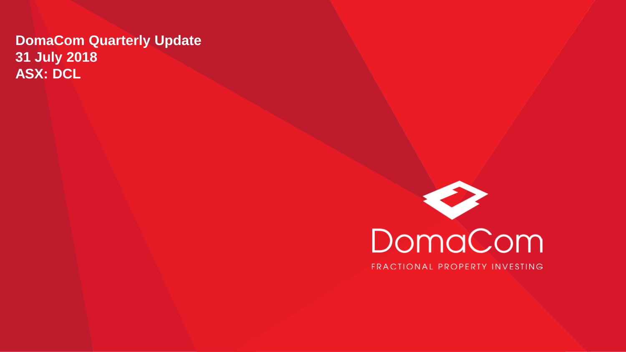### **DomaCom Quarterly Update 31 July 2018 ASX: DCL**



FRACTIONAL PROPERTY INVESTING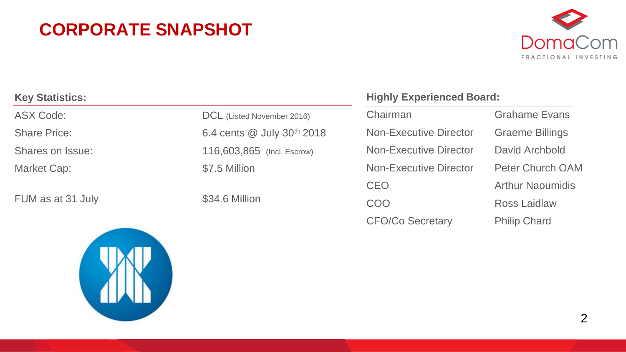### **CORPORATE SNAPSHOT**



| <b>Key Statistics:</b> |                            |
|------------------------|----------------------------|
| ASX Code:              | DCL (Listed November 2016) |
| <b>Share Price:</b>    | 6.4 cents @ July 30th 2018 |
| Shares on Issue:       | 116,603,865 (Incl. Escrow) |
| Market Cap:            | \$7.5 Million              |
|                        |                            |
| FUM as at 31 July      | \$34.6 Million             |

### **Highly Experienced Board:**

Chairman Grahame Evans Non-Executive Director Graeme Billings Non-Executive Director David Archbold Non-Executive Director Peter Church OAM CEO **Arthur Naoumidis** COO Ross Laidlaw CFO/Co Secretary Philip Chard

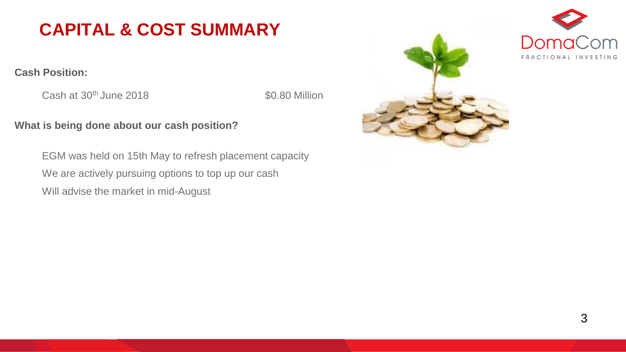### **CAPITAL & COST SUMMARY**

#### **Cash Position:**

Cash at 30<sup>th</sup> June 2018 **\$0.80 Million** 

#### **What is being done about our cash position?**

EGM was held on 15th May to refresh placement capacity We are actively pursuing options to top up our cash Will advise the market in mid-August

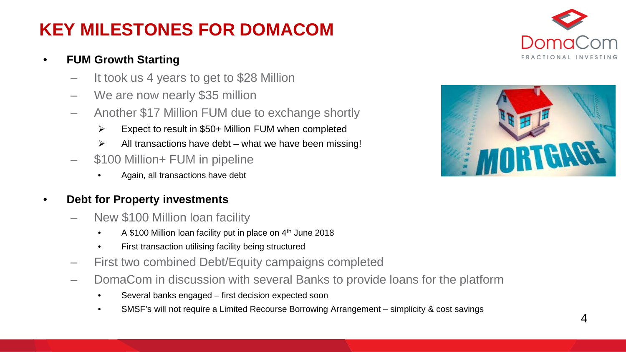### **KEY MILESTONES FOR DOMACOM**

### • **FUM Growth Starting**

- It took us 4 years to get to \$28 Million
- We are now nearly \$35 million
- Another \$17 Million FUM due to exchange shortly
	- Expect to result in \$50+ Million FUM when completed
	- $\triangleright$  All transactions have debt what we have been missing!
- \$100 Million+ FUM in pipeline
	- Again, all transactions have debt

#### • **Debt for Property investments**

- New \$100 Million loan facility
	- A \$100 Million loan facility put in place on 4<sup>th</sup> June 2018
	- First transaction utilising facility being structured
- First two combined Debt/Equity campaigns completed
- DomaCom in discussion with several Banks to provide loans for the platform
	- Several banks engaged first decision expected soon
	- SMSF's will not require a Limited Recourse Borrowing Arrangement simplicity & cost savings



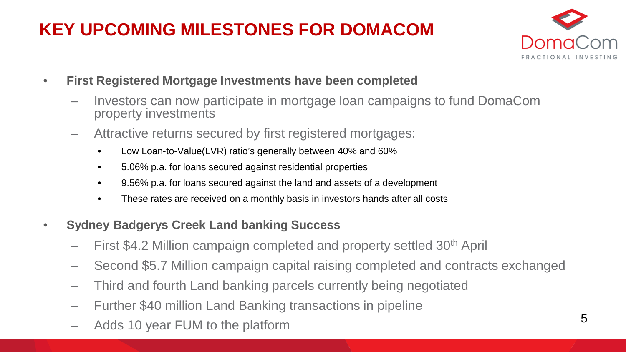## **KEY UPCOMING MILESTONES FOR DOMACOM**



- **First Registered Mortgage Investments have been completed**
	- Investors can now participate in mortgage loan campaigns to fund DomaCom property investments
	- Attractive returns secured by first registered mortgages:
		- Low Loan-to-Value(LVR) ratio's generally between 40% and 60%
		- 5.06% p.a. for loans secured against residential properties
		- 9.56% p.a. for loans secured against the land and assets of a development
		- These rates are received on a monthly basis in investors hands after all costs
- **Sydney Badgerys Creek Land banking Success**
	- First \$4.2 Million campaign completed and property settled 30<sup>th</sup> April
	- Second \$5.7 Million campaign capital raising completed and contracts exchanged
	- Third and fourth Land banking parcels currently being negotiated
	- Further \$40 million Land Banking transactions in pipeline
	- Adds 10 year FUM to the platform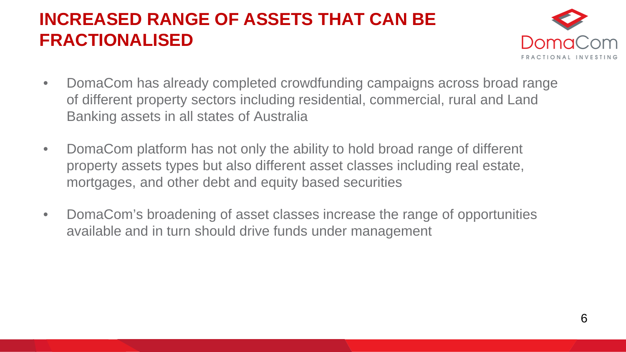### **INCREASED RANGE OF ASSETS THAT CAN BE FRACTIONALISED**



- DomaCom has already completed crowdfunding campaigns across broad range of different property sectors including residential, commercial, rural and Land Banking assets in all states of Australia
- DomaCom platform has not only the ability to hold broad range of different property assets types but also different asset classes including real estate, mortgages, and other debt and equity based securities
- DomaCom's broadening of asset classes increase the range of opportunities available and in turn should drive funds under management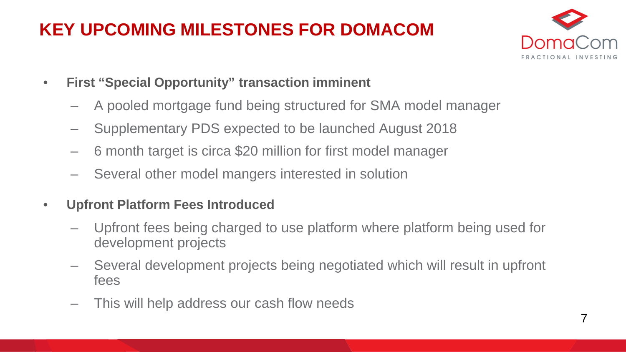## **KEY UPCOMING MILESTONES FOR DOMACOM**



- **First "Special Opportunity" transaction imminent**
	- A pooled mortgage fund being structured for SMA model manager
	- Supplementary PDS expected to be launched August 2018
	- 6 month target is circa \$20 million for first model manager
	- Several other model mangers interested in solution
- **Upfront Platform Fees Introduced**
	- Upfront fees being charged to use platform where platform being used for development projects
	- Several development projects being negotiated which will result in upfront fees
	- This will help address our cash flow needs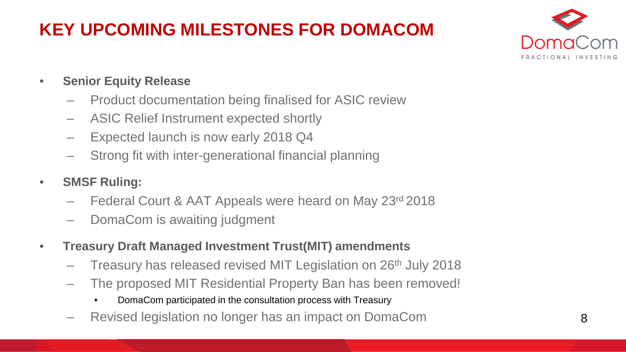## **KEY UPCOMING MILESTONES FOR DOMACOM**



- **Senior Equity Release**
	- Product documentation being finalised for ASIC review
	- ASIC Relief Instrument expected shortly
	- Expected launch is now early 2018 Q4
	- Strong fit with inter-generational financial planning
- **SMSF Ruling:** 
	- Federal Court & AAT Appeals were heard on May 23rd 2018
	- DomaCom is awaiting judgment
- **Treasury Draft Managed Investment Trust(MIT) amendments** 
	- Treasury has released revised MIT Legislation on 26th July 2018
	- The proposed MIT Residential Property Ban has been removed!
		- DomaCom participated in the consultation process with Treasury
	- Revised legislation no longer has an impact on DomaCom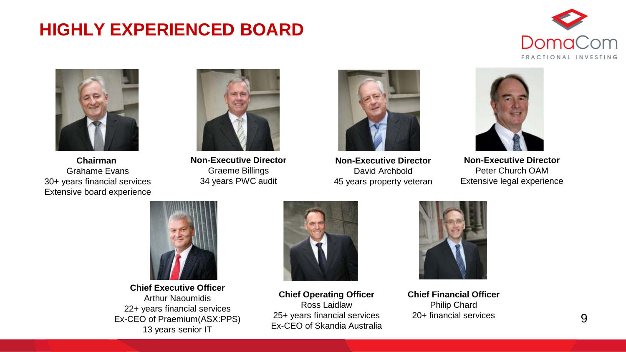### **HIGHLY EXPERIENCED BOARD**





**Chairman**  Grahame Evans 30+ years financial services Extensive board experience



**Non-Executive Director** Graeme Billings 34 years PWC audit



**Non-Executive Director** David Archbold 45 years property veteran



**Non-Executive Director** Peter Church OAM Extensive legal experience



**Chief Executive Officer** Arthur Naoumidis 22+ years financial services Ex-CEO of Praemium(ASX:PPS) 13 years senior IT



**Chief Operating Officer** Ross Laidlaw 25+ years financial services Ex-CEO of Skandia Australia



**Chief Financial Officer** Philip Chard 20+ financial services